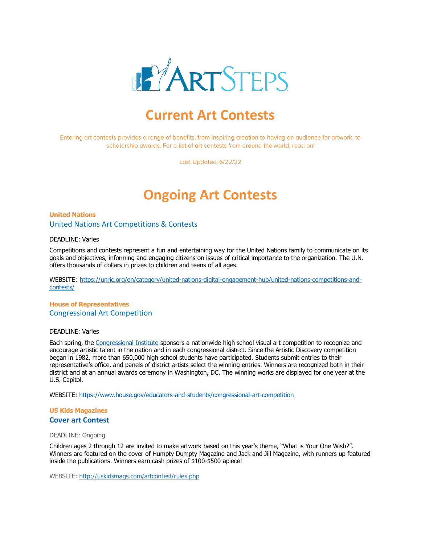

# **Current Art Contests**

Entering art contests provides a range of benefits, from inspiring creation to having an audience for artwork, to scholarship awards. For a list of art contests from around the world, read on!

Last Updated: 6/22/22

# **Ongoing Art Contests**

## **United Nations** United Nations Art Competitions & Contests

#### DEADLINE: Varies

Competitions and contests represent a fun and entertaining way for the United Nations family to communicate on its goals and objectives, informing and engaging citizens on issues of critical importance to the organization. The U.N. offers thousands of dollars in prizes to children and teens of all ages.

WEBSITE: [https://unric.org/en/category/united-nations-digital-engagement-hub/united-nations-competitions-and](https://unric.org/en/category/united-nations-digital-engagement-hub/united-nations-competitions-and-contests/)[contests/](https://unric.org/en/category/united-nations-digital-engagement-hub/united-nations-competitions-and-contests/)

## **House of Representatives** Congressional Art Competition

#### DEADLINE: Varies

Each spring, the [Congressional Institute](http://www.conginst.org/) sponsors a nationwide high school visual art competition to recognize and encourage artistic talent in the nation and in each congressional district. Since the Artistic Discovery competition began in 1982, more than 650,000 high school students have participated. Students submit entries to their representative's office, and panels of district artists select the winning entries. Winners are recognized both in their district and at an annual awards ceremony in Washington, DC. The winning works are displayed for one year at the U.S. Capitol.

WEBSITE:<https://www.house.gov/educators-and-students/congressional-art-competition>

## **US Kids Magazines Cover art Contest**

#### DEADLINE: Ongoing

Children ages 2 through 12 are invited to make artwork based on this year's theme, "What is Your One Wish?". Winners are featured on the cover of Humpty Dumpty Magazine and Jack and Jill Magazine, with runners up featured inside the publications. Winners earn cash prizes of \$100-\$500 apiece!

WEBSITE:<http://uskidsmags.com/artcontest/rules.php>